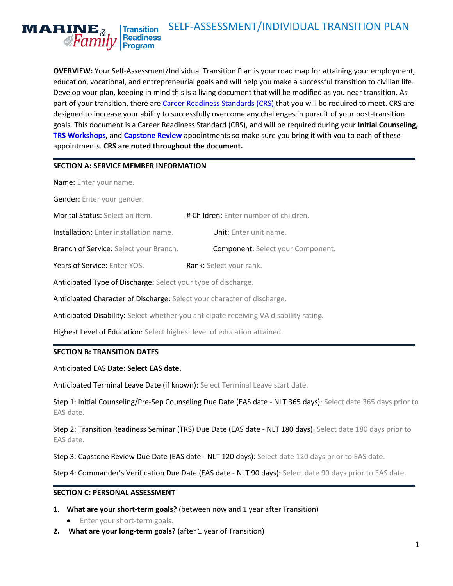#### <span id="page-0-0"></span>SELF-ASSESSMENT/INDIVIDUAL TRANSITION PLAN  $\mathbf{MARINE}_{k}$ **Transition** Readiness<br>Program *AFamily*

**OVERVIEW:** Your Self-Assessment/Individual Transition Plan is your road map for attaining your employment, education, vocational, and entrepreneurial goals and will help you make a successful transition to civilian life. Develop your plan, keeping in mind this is a living document that will be modified as you near transition. As part of your transition, there are [Career Readiness Standards \(CRS\)](#page-5-0) that you will be required to meet. CRS are designed to increase your ability to successfully overcome any challenges in pursuit of your post-transition goals. This document is a Career Readiness Standard (CRS), and will be required during your **Initial Counseling, [TRS Workshops,](#page-5-0)** and **[Capstone Review](#page-6-0)** appointments so make sure you bring it with you to each of these appointments. **CRS are noted throughout the document.**

#### **SECTION A: SERVICE MEMBER INFORMATION**

Name: Enter your name.

Gender: Enter your gender.

| <b>Marital Status:</b> Select an item. | # Children: Enter number of children. |
|----------------------------------------|---------------------------------------|
|                                        |                                       |

| <b>Installation:</b> Enter installation name. | <b>Unit:</b> Enter unit name. |
|-----------------------------------------------|-------------------------------|
|-----------------------------------------------|-------------------------------|

Branch of Service: Select your Branch. Component: Select your Component.

Years of Service: Enter YOS. Rank: Select your rank.

Anticipated Type of Discharge: Select your type of discharge.

Anticipated Character of Discharge: Select your character of discharge.

Anticipated Disability: Select whether you anticipate receiving VA disability rating.

Highest Level of Education: Select highest level of education attained.

#### **SECTION B: TRANSITION DATES**

Anticipated EAS Date: **Select EAS date.** 

Anticipated Terminal Leave Date (if known): Select Terminal Leave start date.

Step 1: Initial Counseling/Pre-Sep Counseling Due Date (EAS date - NLT 365 days): Select date 365 days prior to EAS date.

Step 2: Transition Readiness Seminar (TRS) Due Date (EAS date - NLT 180 days): Select date 180 days prior to EAS date.

Step 3: Capstone Review Due Date (EAS date - NLT 120 days): Select date 120 days prior to EAS date.

Step 4: Commander's Verification Due Date (EAS date - NLT 90 days): Select date 90 days prior to EAS date.

#### **SECTION C: PERSONAL ASSESSMENT**

- **1. What are your short-term goals?** (between now and 1 year after Transition)
	- **•** Enter your short-term goals.
- **2. What are your long-term goals?** (after 1 year of Transition)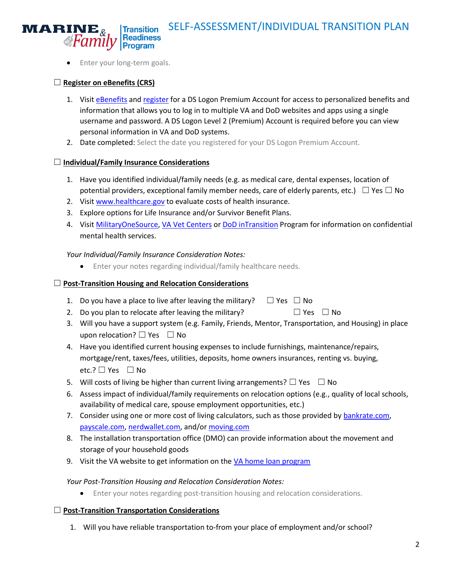

Enter your long-term goals.

# ☐ **Register on eBenefits (CRS)**

- 1. Visit [eBenefits](https://www.ebenefits.va.gov/) an[d register](https://myaccess.dmdc.osd.mil/identitymanagement/registration.do;jsessionid=c4nmoghLmYCaDpB_4xxc3gZ7EaA2Y8Eqlk_n_N87XE-lYDqiCCUB!1641333686?execution=e1s1) for a DS Logon Premium Account for access to personalized benefits and information that allows you to log in to multiple VA and DoD websites and apps using a single username and password. A DS Logon Level 2 (Premium) Account is required before you can view personal information in VA and DoD systems.
- 2. Date completed: Select the date you registered for your DS Logon Premium Account.

# ☐ **Individual/Family Insurance Considerations**

- 1. Have you identified individual/family needs (e.g. as medical care, dental expenses, location of potential providers, exceptional family member needs, care of elderly parents, etc.)  $\Box$  Yes  $\Box$  No
- 2. Visit [www.healthcare.gov](http://www.healthcare.gov/) to evaluate costs of health insurance.
- 3. Explore options for Life Insurance and/or Survivor Benefit Plans.
- 4. Visit [MilitaryOneSource,](https://www.militaryonesource.mil/) [VA Vet Centers](https://www.vetcenter.va.gov/) or [DoD inTransition](https://www.pdhealth.mil/resource-center/intransition) Program for information on confidential mental health services.

# *Your Individual/Family Insurance Consideration Notes:*

Enter your notes regarding individual/family healthcare needs.

# ☐ **Post-Transition Housing and Relocation Considerations**

- 1. Do you have a place to live after leaving the military?  $\Box$  Yes  $\Box$  No
- 2. Do you plan to relocate after leaving the military?  $\Box$  Yes  $\Box$  No
- 3. Will you have a support system (e.g. Family, Friends, Mentor, Transportation, and Housing) in place upon relocation?  $\Box$  Yes  $\Box$  No
- 4. Have you identified current housing expenses to include furnishings, maintenance/repairs, mortgage/rent, taxes/fees, utilities, deposits, home owners insurances, renting vs. buying, etc.? □ Yes □ No
- 5. Will costs of living be higher than current living arrangements?  $\Box$  Yes  $\Box$  No
- 6. Assess impact of individual/family requirements on relocation options (e.g., quality of local schools, availability of medical care, spouse employment opportunities, etc.)
- 7. Consider using one or more cost of living calculators, such as those provided by [bankrate.com,](https://www.bankrate.com/calculators/savings/moving-cost-of-living-calculator.aspx) [payscale.com,](https://www.payscale.com/cost-of-living-calculator) [nerdwallet.com,](https://www.nerdwallet.com/cost-of-living-calculator) and/or [moving.com](https://www.moving.com/real-estate/compare-cities/)
- 8. The installation transportation office (DMO) can provide information about the movement and storage of your household goods
- 9. Visit the VA website to get information on the [VA home loan program](http://www.benefits.va.gov/homeloans/)

## *Your Post-Transition Housing and Relocation Consideration Notes:*

Enter your notes regarding post-transition housing and relocation considerations.

## ☐ **Post-Transition Transportation Considerations**

1. Will you have reliable transportation to-from your place of employment and/or school?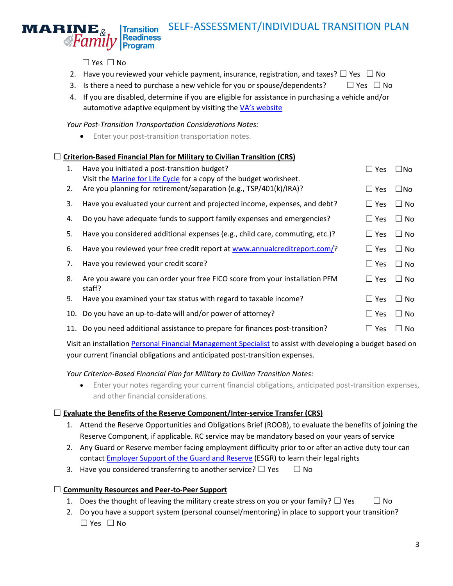# SELF-ASSESSMENT/INDIVIDUAL TRANSITION PLAN **Transition** Readiness<br>Program

☐ Yes ☐ No

**A**Family

 $\mathbf{MARK}\mathbf{M}$ 

- 2. Have you reviewed your vehicle payment, insurance, registration, and taxes?  $\square$  Yes  $\square$  No
- 3. Is there a need to purchase a new vehicle for you or spouse/dependents?  $□$  Yes  $□$  No
- 4. If you are disabled, determine if you are eligible for assistance in purchasing a vehicle and/or automotive adaptive equipment by visiting the [VA's website](https://www.va.gov/disability/eligibility/special-claims/automobile-allowance-adaptive-equipment/)

*Your Post-Transition Transportation Considerations Notes:*

**•** Enter your post-transition transportation notes.

#### □ **Criterion-Based Financial Plan for Military to Civilian Transition (CRS)**

| 1. | Have you initiated a post-transition budget?<br>Visit the Marine for Life Cycle for a copy of the budget worksheet. | $\square$ Yes | $\square$ No  |
|----|---------------------------------------------------------------------------------------------------------------------|---------------|---------------|
| 2. | Are you planning for retirement/separation (e.g., TSP/401(k)/IRA)?                                                  | $\sqcup$ Yes  | □No           |
| 3. | Have you evaluated your current and projected income, expenses, and debt?                                           | $\Box$ Yes    | $\Box$ No     |
| 4. | Do you have adequate funds to support family expenses and emergencies?                                              | $\Box$ Yes    | $\Box$ No     |
| 5. | Have you considered additional expenses (e.g., child care, commuting, etc.)?                                        | $\Box$ Yes    | No.<br>$\Box$ |
| 6. | Have you reviewed your free credit report at www.annualcreditreport.com/?                                           | $\Box$ Yes    | $\Box$ No     |
| 7. | Have you reviewed your credit score?                                                                                | $\sqcup$ Yes  | $\Box$ No     |
| 8. | Are you aware you can order your free FICO score from your installation PFM<br>staff?                               | $\Box$ Yes    | No.<br>$\Box$ |
| 9. | Have you examined your tax status with regard to taxable income?                                                    | $\Box$ Yes    | $\Box$ No     |
|    | 10. Do you have an up-to-date will and/or power of attorney?                                                        | $\Box$ Yes    | No.<br>$\Box$ |
|    | 11. Do you need additional assistance to prepare for finances post-transition?                                      | $\Box$ Yes    | No.           |

Visit an installatio[n Personal Financial Management Specialist](http://www.usmc-mccs.org/services/career/personal-financial-management/) to assist with developing a budget based on your current financial obligations and anticipated post-transition expenses.

#### *Your Criterion-Based Financial Plan for Military to Civilian Transition Notes:*

 Enter your notes regarding your current financial obligations, anticipated post-transition expenses, and other financial considerations.

#### ☐ **Evaluate the Benefits of the Reserve Component/Inter-service Transfer (CRS)**

- 1. Attend the Reserve Opportunities and Obligations Brief (ROOB), to evaluate the benefits of joining the Reserve Component, if applicable. RC service may be mandatory based on your years of service
- 2. Any Guard or Reserve member facing employment difficulty prior to or after an active duty tour can contact **Employer Support of the Guard and Reserve (ESGR)** to learn their legal rights
- 3. Have you considered transferring to another service?  $\Box$  Yes  $\Box$  No

## ☐ **Community Resources and Peer-to-Peer Support**

- 1. Does the thought of leaving the military create stress on you or your family?  $\Box$  Yes  $\Box$  No
- 2. Do you have a support system (personal counsel/mentoring) in place to support your transition? ☐ Yes ☐ No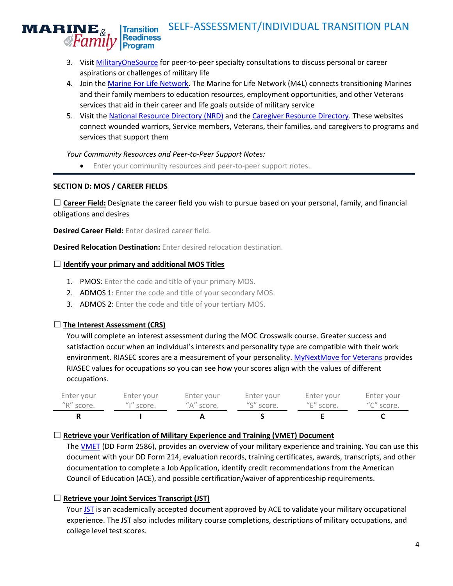#### SELF-ASSESSMENT/INDIVIDUAL TRANSITION PLAN **Transition Readiness Program**

- 3. Visit [MilitaryOneSource](https://www.militaryonesource.mil/confidential-help/specialty-consultations/peer-to-peer) for peer-to-peer specialty consultations to discuss personal or career aspirations or challenges of military life
- 4. Join th[e Marine For Life Network.](https://usmc-mccs.org/services/career/marine-for-life-network/) The Marine for Life Network (M4L) connects transitioning Marines and their family members to education resources, employment opportunities, and other Veterans services that aid in their career and life goals outside of military service
- 5. Visit the [National Resource Directory](https://nrd.gov/misc/resourceCategories) (NRD) and the [Caregiver Resource Directory.](https://www.blogs.va.gov/VAntage/65287/2019-caregiver-resource-directory/) These websites connect wounded warriors, Service members, Veterans, their families, and caregivers to programs and services that support them

## *Your Community Resources and Peer-to-Peer Support Notes:*

**•** Enter your community resources and peer-to-peer support notes.

# **SECTION D: MOS / CAREER FIELDS**

 $\mathbf{MARINE}_{k}$ 

**&Family** 

□ **Career Field:** Designate the career field you wish to pursue based on your personal, family, and financial obligations and desires

**Desired Career Field:** Enter desired career field.

**Desired Relocation Destination:** Enter desired relocation destination.

## ☐ **Identify your primary and additional MOS Titles**

- 1. PMOS: Enter the code and title of your primary MOS.
- 2. ADMOS 1: Enter the code and title of your secondary MOS.
- 3. ADMOS 2: Enter the code and title of your tertiary MOS.

# ☐ **The Interest Assessment (CRS)**

You will complete an interest assessment during the MOC Crosswalk course. Greater success and satisfaction occur when an individual's interests and personality type are compatible with their work environment. RIASEC scores are a measurement of your personality[. MyNextMove for Veterans](https://www.mynextmove.org/vets/) provides RIASEC values for occupations so you can see how your scores align with the values of different occupations.

| Enter your | Enter your               | Enter your | Enter your | Enter your | Enter your |
|------------|--------------------------|------------|------------|------------|------------|
| "R" score. | $^{\prime\prime}$ score. | "A" score. | "S" score. | "E" score. | "C" score. |
|            |                          |            |            |            |            |

## ☐ **Retrieve your Verification of Military Experience and Training (VMET) Document**

The [VMET](https://www.usmc-mccs.org/articles/how-to-pull-your-verification-of-military-experience-and-training-vmet/) (DD Form 2586), provides an overview of your military experience and training. You can use this document with your DD Form 214, evaluation records, training certificates, awards, transcripts, and other documentation to complete a Job Application, identify credit recommendations from the American Council of Education (ACE), and possible certification/waiver of apprenticeship requirements.

# ☐ **Retrieve your Joint Services Transcript (JST)**

Your [JST](https://www.usmc-mccs.org/articles/how-to-pull-your-joint-services-transcript-jst/) is an academically accepted document approved by ACE to validate your military occupational experience. The JST also includes military course completions, descriptions of military occupations, and college level test scores.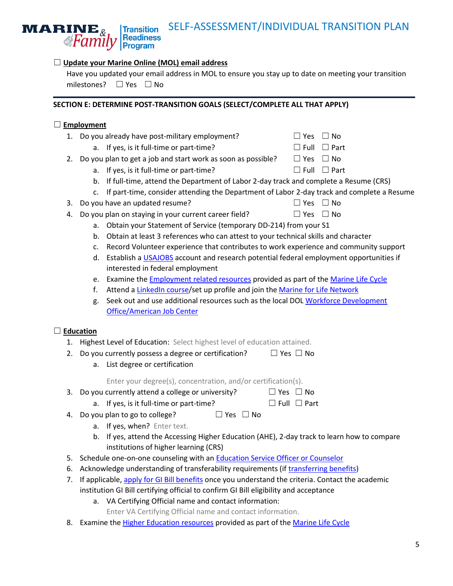#### ☐ **Update your Marine Online (MOL) email address**

**Program** 

**Transition Readiness** 

Have you updated your email address in MOL to ensure you stay up to date on meeting your transition milestones? ☐ Yes ☐ No

#### **SECTION E: DETERMINE POST-TRANSITION GOALS (SELECT/COMPLETE ALL THAT APPLY)**

#### ☐ **Employment**

**A**Family

 $\mathbf{MARINE}_{\&}$ 

|  | 1. Do you already have post-military employment? | $\Box$ Yes $\Box$ No |
|--|--------------------------------------------------|----------------------|
|--|--------------------------------------------------|----------------------|

a. If yes, is it full-time or part-time?  $□$  Full  $□$  Part

2. Do you plan to get a job and start work as soon as possible?  $□$  Yes  $□$  No

- a. If yes, is it full-time or part-time?  $□$  Full  $□$  Part
- b. If full-time, attend the Department of Labor 2-day track and complete a Resume (CRS)
- c. If part-time, consider attending the Department of Labor 2-day track and complete a Resume
- 3. Do you have an updated resume?

| $\Box$ Yes $\Box$ No |  |
|----------------------|--|

- 4. Do you plan on staying in your current career field?  $□$  Yes  $□$  No
	- a. Obtain your Statement of Service (temporary DD-214) from your S1
	- b. Obtain at least 3 references who can attest to your technical skills and character
	- c. Record Volunteer experience that contributes to work experience and community support
	- d. Establish a [USAJOBS](https://www.usajobs.gov/) account and research potential federal employment opportunities if interested in federal employment
	- e. Examine the [Employment related resources](http://usmc-mccs.org/cycle/resources/#employment) provided as part of the Marine [Life Cycle](http://www.usmc-mccs.org/cycle/)
	- f. Attend a [LinkedIn course/](http://usmc-mccs.org/articles/linkedin-courses-launch-marine-corps-wide/)set up profile and join the [Marine for Life Network](http://www.marineforlife.org/)
	- g. Seek out and use additional resources such as the local DOL [Workforce Development](https://www.careeronestop.org/)  [Office/American Job Center](https://www.careeronestop.org/)

#### ☐ **Education**

- 1. Highest Level of Education: Select highest level of education attained.
- 2. Do you currently possess a degree or certification?  $□$  Yes  $□$  No
	- a. List degree or certification

Enter your degree(s), concentration, and/or certification(s).

- 3. Do you currently attend a college or university?  $□$  Yes  $□$  No
	- a. If yes, is it full-time or part-time?  $□$  Full  $□$  Part
- 4. Do you plan to go to college?  $□$  Yes  $□$  No
	- a. If yes, when? Enter text.
		- b. If yes, attend the Accessing Higher Education (AHE), 2-day track to learn how to compare institutions of higher learning (CRS)
- 5. Schedule one-on-one counseling with an [Education Service Officer or Counselor](http://www.usmc-mccs.org/services/education/voluntary-education/)
- 6. Acknowledge understanding of transferability requirements (i[f transferring benefits\)](https://www.benefits.va.gov/GIBILL/post911_transfer.asp)
- 7. If applicable[, apply for GI](https://www.vets.gov/education/apply/) Bill benefits once you understand the criteria. Contact the academic institution GI Bill certifying official to confirm GI Bill eligibility and acceptance
	- a. VA Certifying Official name and contact information:
		- Enter VA Certifying Official name and contact information.
- 8. Examine the [Higher Education resources](http://usmc-mccs.org/cycle/resources/#access) provided as part of the Marine [Life Cycle](http://www.usmc-mccs.org/cycle/)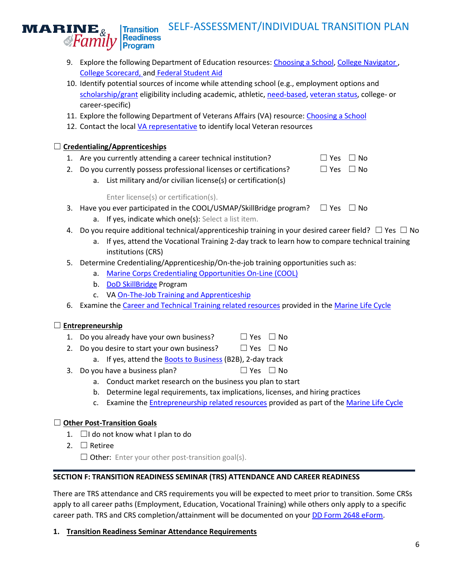#### SELF-ASSESSMENT/INDIVIDUAL TRANSITION PLAN **Transition Readiness** Program

- 9. Explore the following Department of Education resources: [Choosing a School,](https://studentaid.ed.gov/sa/prepare-for-college/choosing-schools) [College Navigator](https://nces.ed.gov/collegenavigator/) , [College Scorecard,](https://collegescorecard.ed.gov/) and [Federal Student Aid](https://studentaid.ed.gov/sa/)
- 10. Identify potential sources of income while attending school (e.g., employment options and [scholarship/grant](https://studentaid.ed.gov/sa/types/grants-scholarships) eligibility including academic, athletic, [need-based,](https://studentaid.ed.gov/sa/glossary#Need-based) [veteran status,](https://studentaid.ed.gov/sa/types/grants-scholarships/military) college- or career-specific)
- 11. Explore the following Department of Veterans Affairs (VA) resource[: Choosing a School](https://www.benefits.va.gov/gibill/choosing_a_school.asp)
- 12. Contact the local [VA representative](https://www.benefits.va.gov/benefits/offices.asp) to identify local Veteran resources

# ☐ **Credentialing/Apprenticeships**

<span id="page-5-0"></span> $\mathbf{MARK}\mathbf{M}$ 

**&Family** 

- 1. Are you currently attending a career technical institution?  $\Box$  Yes  $\Box$  No
- 2. Do you currently possess professional licenses or certifications?  $\Box$  Yes  $\Box$  No
	- a. List military and/or civilian license(s) or certification(s)

# Enter license(s) or certification(s).

- 3. Have you ever participated in the COOL/USMAP/SkillBridge program?  $\Box$  Yes  $\Box$  No
	- a. If yes, indicate which one(s): Select a list item.
- 4. Do you require additional technical/apprenticeship training in your desired career field?  $\Box$  Yes  $\Box$  No
	- a. If yes, attend the Vocational Training 2-day track to learn how to compare technical training institutions (CRS)
- 5. Determine Credentialing/Apprenticeship/On-the-job training opportunities such as:
	- a. [Marine Corps Credentialing Opportunities On-Line \(COOL\)](https://www.cool.navy.mil/usmc/)
	- b. [DoD SkillBridge](https://dodskillbridge.com/) Program
	- c. VA [On-The-Job Training and Apprenticeship](https://www.benefits.va.gov/gibill/onthejob_apprenticeship.asp)
- 6. Examine the [Career and Technical Training related resources](http://usmc-mccs.org/cycle/resources/#career) provided in the Marine [Life Cycle](http://www.usmc-mccs.org/cycle/)

# ☐ **Entrepreneurship**

- 1. Do you already have your own business?  $□$  Yes  $□$  No
- 2. Do you desire to start your own business?  $□$  Yes  $□$  No
	- a. If yes, attend the [Boots to Business](https://www.sba.gov/offices/headquarters/ovbd/resources/160511) (B2B), 2-day track
- 3. Do you have a business plan?  $□$  Yes  $□$  No
	- a. Conduct market research on the business you plan to start
	- b. Determine legal requirements, tax implications, licenses, and hiring practices
	- c. Examine the [Entrepreneurship related resources](http://usmc-mccs.org/cycle/resources/#entr) provided as part of the Marine [Life Cycle](http://www.usmc-mccs.org/cycle/)

## ☐ **Other Post-Transition Goals**

- 1. □I do not know what I plan to do
- 2. ☐ Retiree

 $\Box$  Other: Enter your other post-transition goal(s).

## **SECTION F: TRANSITION READINESS SEMINAR (TRS) ATTENDANCE AND CAREER READINESS**

There are TRS attendance and CRS requirements you will be expected to meet prior to transition. Some CRSs apply to all career paths (Employment, Education, Vocational Training) while others only apply to a specific career path. TRS and CRS completion/attainment will be documented on your [DD Form 2648 eForm.](https://milconnect.dmdc.osd.mil/milconnect/)

## **1. Transition Readiness Seminar Attendance Requirements**